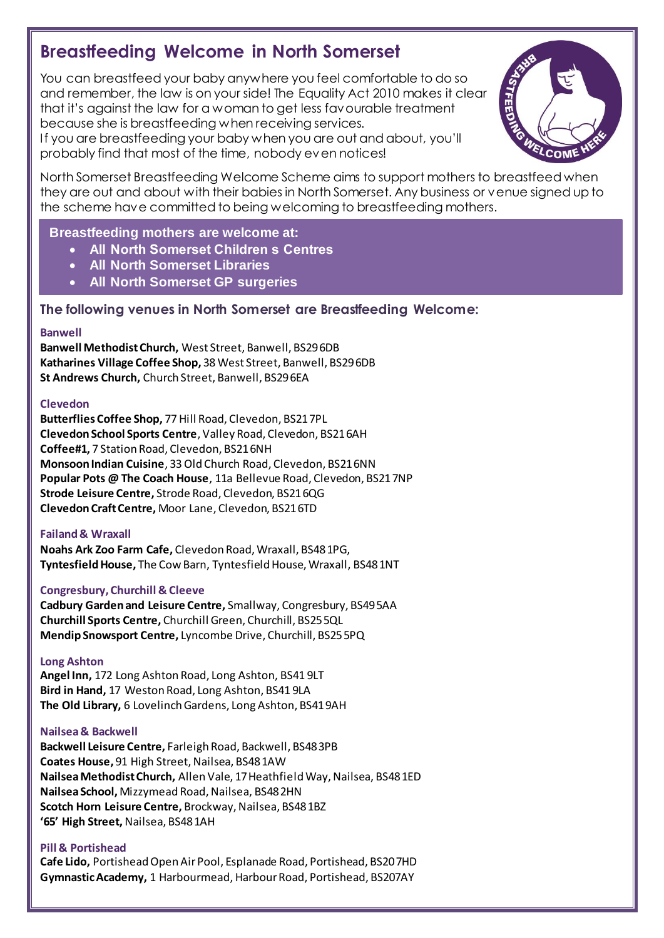# **Breastfeeding Welcome in North Somerset**

 You can breastfeed your baby anywhere you feel comfortable to do so and remember, the law is on your side! The Equality Act 2010 makes it clear that it's against the law for a woman to get less favourable treatment because she is breastfeeding when receiving services.

 If you are breastfeeding your baby when you are out and about, you'll probably find that most of the time, nobody even notices!



 North Somerset Breastfeeding Welcome Scheme aims to support mothers to breastfeed when they are out and about with their babies in North Somerset. Any business or venue signed up to the scheme have committed to being welcoming to breastfeeding mothers.

# **Breastfeeding mothers are welcome at:**

- **' All North Somerset Children s Centres**
- **All North Somerset Libraries**
- **All North Somerset GP surgeries**

## **The following venues in North Somerset are Breastfeeding Welcome:**

#### **Banwell**

 **Banwell Methodist Church,** West Street, Banwell, BS296DB  **Katharines Village Coffee Shop,** 38 West Street, Banwell, BS296DB **St Andrews Church,** Church Street, Banwell, BS296EA

## **Clevedon**

 **Butterflies Coffee Shop,** 77 Hill Road, Clevedon, BS217PL  **Clevedon School Sports Centre**, Valley Road, Clevedon, BS216AH **Coffee#1,** 7 Station Road, Clevedon, BS216NH  **Monsoon Indian Cuisine**, 33 Old Church Road, Clevedon, BS216NN  **Popular Pots @ The Coach House**, 11a Bellevue Road, Clevedon, BS217NP  **Strode Leisure Centre,** Strode Road, Clevedon, BS216QG  **Clevedon Craft Centre,** Moor Lane, Clevedon, BS216TD

## **Failand & Wraxall**

 **Noahs Ark Zoo Farm Cafe,** Clevedon Road, Wraxall, BS481PG,  **Tyntesfield House,** The Cow Barn, Tyntesfield House, Wraxall, BS481NT

## **Congresbury, Churchill & Cleeve**

 **Cadbury Garden and Leisure Centre,** Smallway, Congresbury, BS495AA **Churchill Sports Centre,** Churchill Green, Churchill, BS255QL  **Mendip Snowsport Centre,** Lyncombe Drive, Churchill, BS255PQ

## **Long Ashton**

 **Angel Inn,** 172 Long Ashton Road, Long Ashton, BS41 9LT  **Bird in Hand,** 17 Weston Road, Long Ashton, BS41 9LA  **The Old Library,** 6 Lovelinch Gardens, Long Ashton, BS419AH

## **Nailsea & Backwell**

 **Backwell Leisure Centre,** Farleigh Road, Backwell, BS483PB **Coates House,** 91 High Street, Nailsea, BS481AW  **NailseaMethodist Church,** Allen Vale, 17Heathfield Way, Nailsea, BS481ED  **NailseaSchool,** Mizzymead Road, Nailsea, BS482HN  **Scotch Horn Leisure Centre,** Brockway, Nailsea, BS481BZ  **'65' High Street,**Nailsea, BS481AH

## **Pill & Portishead**

 **Cafe Lido,** Portishead Open Air Pool, Esplanade Road, Portishead, BS207HD **Gymnastic Academy,** 1 Harbourmead, Harbour Road, Portishead, BS207AY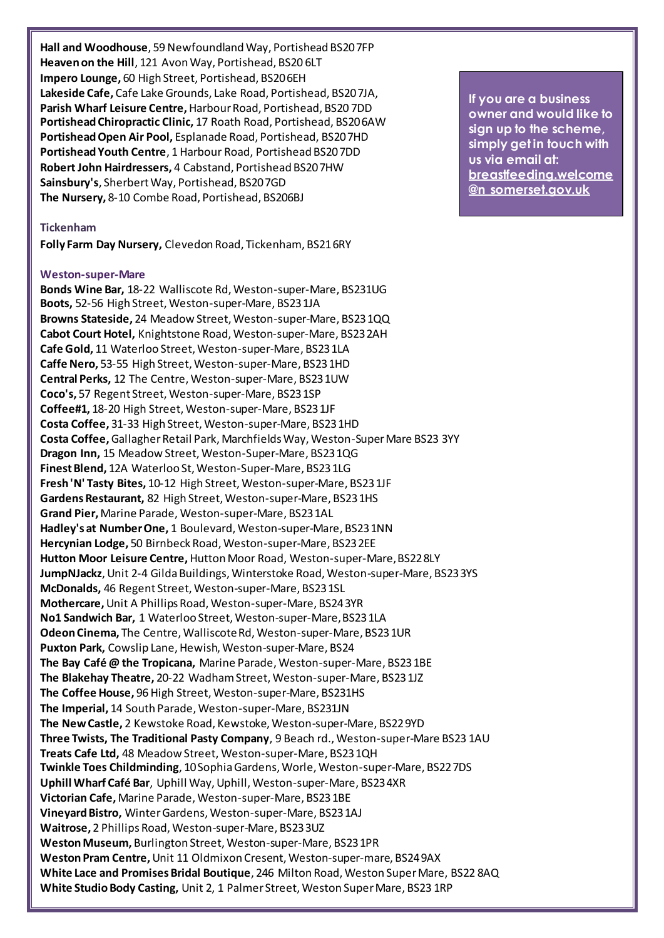**Hall and Woodhouse**, 59 Newfoundland Way, Portishead BS207FP  **Heaven on the Hill**, 121 Avon Way, Portishead, BS20 6LT  **Impero Lounge,** 60 High Street, Portishead, BS206EH Lakeside Cafe, Cafe Lake Grounds, Lake Road, Portishead, BS207JA, Parish Wharf Leisure Centre, Harbour Road, Portishead, BS20 7DD Portishead Chiropractic Clinic, 17 Roath Road, Portishead, BS206AW Portishead Open Air Pool, Esplanade Road, Portishead, BS207HD Portishead Youth Centre, 1 Harbour Road, Portishead BS207DD **Robert John Hairdressers, 4 Cabstand, Portishead BS207HW** Sainsbury's, Sherbert Way, Portishead, BS207GD The Nursery, 8-10 Combe Road, Portishead, BS206BJ Experience Cafe, Cafe Lake Grounds, Lake Road, Portishead, BS207JA,<br>
Parish Wharf Leisure Centre, Harbour Road, Portishead, BS207DD<br>
Portishead Chiropractic Clinic, 17 Roath Road, Portishead, BS207DD<br>
Portishead Open Air P

#### **Tickenham**

 **Folly Farm Day Nursery,** Clevedon Road, Tickenham, BS216RY

#### **Weston-super-Mare**

 **Bonds Wine Bar,** 18-22 Walliscote Rd, Weston-super-Mare, BS231UG **Boots,** 52-56 High Street, Weston-super-Mare, BS231JA **Browns Stateside,** 24 Meadow Street, Weston-super-Mare, BS231QQ  **Cabot Court Hotel,** Knightstone Road, Weston-super-Mare, BS232AH  **Cafe Gold,** 11 Waterloo Street, Weston-super-Mare, BS231LA  **Caffe Nero,** 53-55 High Street, Weston-super-Mare, BS231HD  **Central Perks,** 12 The Centre, Weston-super-Mare, BS231UW **Coco's,** 57 Regent Street, Weston-super-Mare, BS231SP **Coffee#1,** 18-20 High Street, Weston-super-Mare, BS231JF  **Costa Coffee,** 31-33 High Street, Weston-super-Mare, BS231HD  **Costa Coffee,** Gallagher Retail Park, Marchfields Way, Weston-Super Mare BS23 3YY  **Dragon Inn,** 15 Meadow Street, Weston-Super-Mare, BS231QG  **Finest Blend,** 12A Waterloo St, Weston-Super-Mare, BS231LG  **Fresh 'N' Tasty Bites,** 10-12 High Street, Weston-super-Mare, BS231JF **Gardens Restaurant,** 82 High Street, Weston-super-Mare, BS231HS  **Grand Pier,** Marine Parade, Weston-super-Mare, BS231AL  **Hadley's at Number One,** 1 Boulevard, Weston-super-Mare, BS231NN  **Hercynian Lodge,** 50 Birnbeck Road, Weston-super-Mare, BS232EE  **Hutton Moor Leisure Centre,** Hutton Moor Road, Weston-super-Mare,BS228LY **JumpNJackz**, Unit 2-4 Gilda Buildings, Winterstoke Road, Weston-super-Mare, BS233YS **McDonalds,** 46 Regent Street, Weston-super-Mare, BS231SL **Mothercare,** Unit A Phillips Road, Weston-super-Mare, BS243YR  **No1 Sandwich Bar,** 1 Waterloo Street, Weston-super-Mare,BS231LA  **Odeon Cinema,** The Centre, WalliscoteRd, Weston-super-Mare, BS231UR  **Puxton Park,** Cowslip Lane, Hewish, Weston-super-Mare, BS24  **The Bay Café @ the Tropicana,** Marine Parade, Weston-super-Mare, BS231BE  **The Blakehay Theatre,** 20-22 Wadham Street, Weston-super-Mare, BS231JZ  **The Coffee House,** 96 High Street, Weston-super-Mare, BS231HS **The Imperial,** 14 South Parade, Weston-super-Mare, BS231JN  **The New Castle,** 2 Kewstoke Road, Kewstoke, Weston-super-Mare, BS229YD  **Three Twists, The Traditional Pasty Company**, 9 Beach rd., Weston-super-Mare BS23 1AU  **Treats Cafe Ltd,** 48 Meadow Street, Weston-super-Mare, BS231QH **Twinkle Toes Childminding**, 10Sophia Gardens, Worle, Weston-super-Mare, BS227DS  **Uphill Wharf Café Bar**, Uphill Way, Uphill, Weston-super-Mare, BS234XR **Victorian Cafe,** Marine Parade, Weston-super-Mare, BS231BE  **Vineyard Bistro,** Winter Gardens, Weston-super-Mare, BS231AJ **Waitrose,** 2 Phillips Road, Weston-super-Mare, BS233UZ  **Weston Museum,** Burlington Street, Weston-super-Mare, BS231PR  **Weston Pram Centre,** Unit 11 Oldmixon Cresent, Weston-super-mare, BS249AX  **White Lace and Promises Bridal Boutique**, 246 Milton Road, Weston Super Mare, BS22 8AQ  **White Studio Body Casting,** Unit 2, 1 Palmer Street, Weston Super Mare, BS23 1RP

If you are a business *<u>owner and would like to</u>* sign up to the scheme, simply get in touch with us via email at: **@n** somerset.gov.uk